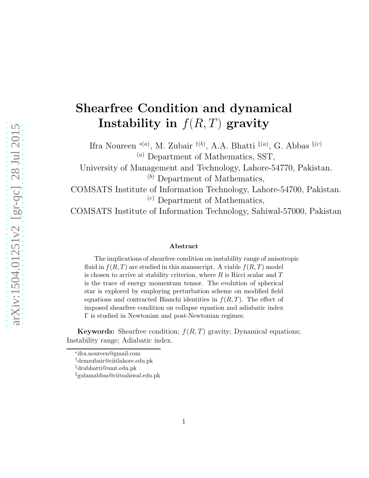# Shearfree Condition and dynamical Instability in  $f(R, T)$  gravity

Ifra Noureen <sup>\*(a)</sup>, M. Zubair <sup>†(b)</sup>, A.A. Bhatti <sup>‡(a)</sup>, G. Abbas <sup>§(c)</sup>  $(a)$  Department of Mathematics, SST,

University of Management and Technology, Lahore-54770, Pakistan.  $(b)$  Department of Mathematics,

COMSATS Institute of Information Technology, Lahore-54700, Pakistan.  $(c)$  Department of Mathematics,

COMSATS Institute of Information Technology, Sahiwal-57000, Pakistan

#### Abstract

The implications of shearfree condition on instability range of anisotropic fluid in  $f(R,T)$  are studied in this manuscript. A viable  $f(R,T)$  model is chosen to arrive at stability criterion, where  $R$  is Ricci scalar and  $T$ is the trace of energy momentum tensor. The evolution of spherical star is explored by employing perturbation scheme on modified field equations and contracted Bianchi identities in  $f(R,T)$ . The effect of imposed shearfree condition on collapse equation and adiabatic index Γ is studied in Newtonian and post-Newtonian regimes.

**Keywords:** Shearfree condition;  $f(R,T)$  gravity; Dynamical equations; Instability range; Adiabatic index.

<sup>∗</sup> ifra.noureen@gmail.com

<sup>†</sup>drmzubair@ciitlahore.edu.pk

<sup>‡</sup>drabhatti@umt.edu.pk

<sup>§</sup>gulamabbas@ciitsahiwal.edu.pk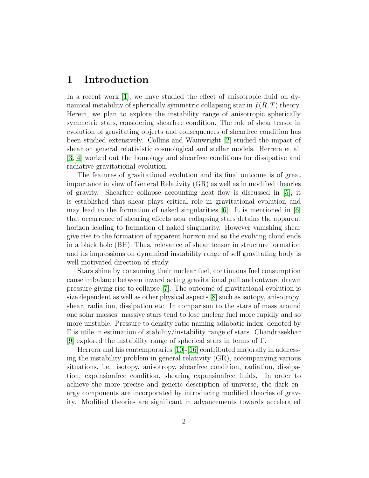### 1 Introduction

In a recent work [\[1\]](#page-14-0), we have studied the effect of anisotropic fluid on dynamical instability of spherically symmetric collapsing star in  $f(R, T)$  theory. Herein, we plan to explore the instability range of anisotropic spherically symmetric stars, considering shearfree condition. The role of shear tensor in evolution of gravitating objects and consequences of shearfree condition has been studied extensively. Collins and Wainwright [\[2\]](#page-14-1) studied the impact of shear on general relativistic cosmological and stellar models. Herrera et al. [\[3,](#page-14-2) [4\]](#page-14-3) worked out the homology and shearfree conditions for dissipative and radiative gravitational evolution.

The features of gravitational evolution and its final outcome is of great importance in view of General Relativity (GR) as well as in modified theories of gravity. Shearfree collapse accounting heat flow is discussed in [\[5\]](#page-14-4), it is established that shear plays critical role in gravitational evolution and may lead to the formation of naked singularities  $|6|$ . It is mentioned in  $|6|$ that occurrence of shearing effects near collapsing stars detains the apparent horizon leading to formation of naked singularity. However vanishing shear give rise to the formation of apparent horizon and so the evolving cloud ends in a black hole (BH). Thus, relevance of shear tensor in structure formation and its impressions on dynamical instability range of self gravitating body is well motivated direction of study.

Stars shine by consuming their nuclear fuel, continuous fuel consumption cause imbalance between inward acting gravitational pull and outward drawn pressure giving rise to collapse [\[7\]](#page-14-6). The outcome of gravitational evolution is size dependent as well as other physical aspects [\[8\]](#page-14-7) such as isotopy, anisotropy, shear, radiation, dissipation etc. In comparison to the stars of mass around one solar masses, massive stars tend to lose nuclear fuel more rapidly and so more unstable. Pressure to density ratio naming adiabatic index, denoted by Γ is utile in estimation of stability/instability range of stars. Chandrasekhar [\[9\]](#page-14-8) explored the instability range of spherical stars in terms of Γ.

Herrera and his contemporaries [\[10\]](#page-14-9)-[\[16\]](#page-14-10) contributed majorally in addressing the instability problem in general relativity (GR), accompanying various situations, i.e., isotopy, anisotropy, shearfree condition, radiation, dissipation, expansionfree condition, shearing expansionfree fluids. In order to achieve the more precise and generic description of universe, the dark energy components are incorporated by introducing modified theories of gravity. Modified theories are significant in advancements towards accelerated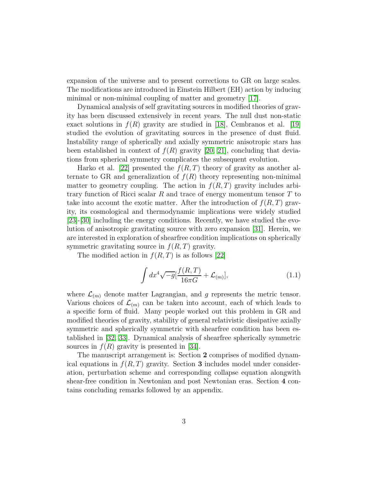expansion of the universe and to present corrections to GR on large scales. The modifications are introduced in Einstein Hilbert (EH) action by inducing minimal or non-minimal coupling of matter and geometry [\[17\]](#page-14-11).

Dynamical analysis of self gravitating sources in modified theories of gravity has been discussed extensively in recent years. The null dust non-static exact solutions in  $f(R)$  gravity are studied in [\[18\]](#page-15-0), Cembranos et al. [\[19\]](#page-15-1) studied the evolution of gravitating sources in the presence of dust fluid. Instability range of spherically and axially symmetric anisotropic stars has been established in context of  $f(R)$  gravity [\[20,](#page-15-2) [21\]](#page-15-3), concluding that deviations from spherical symmetry complicates the subsequent evolution.

Harko et al. [\[22\]](#page-15-4) presented the  $f(R,T)$  theory of gravity as another alternate to GR and generalization of  $f(R)$  theory representing non-minimal matter to geometry coupling. The action in  $f(R,T)$  gravity includes arbitrary function of Ricci scalar R and trace of energy momentum tensor  $T$  to take into account the exotic matter. After the introduction of  $f(R,T)$  gravity, its cosmological and thermodynamic implications were widely studied [\[23\]](#page-15-5)-[\[30\]](#page-15-6) including the energy conditions. Recently, we have studied the evolution of anisotropic gravitating source with zero expansion [\[31\]](#page-15-7). Herein, we are interested in exploration of shearfree condition implications on spherically symmetric gravitating source in  $f(R,T)$  gravity.

The modified action in  $f(R, T)$  is as follows [\[22\]](#page-15-4)

<span id="page-2-0"></span>
$$
\int dx^4 \sqrt{-g} \left[ \frac{f(R,T)}{16\pi G} + \mathcal{L}_{(m)} \right],\tag{1.1}
$$

where  $\mathcal{L}_{(m)}$  denote matter Lagrangian, and g represents the metric tensor. Various choices of  $\mathcal{L}_{(m)}$  can be taken into account, each of which leads to a specific form of fluid. Many people worked out this problem in GR and modified theories of gravity, stability of general relativistic dissipative axially symmetric and spherically symmetric with shearfree condition has been established in [\[32,](#page-15-8) [33\]](#page-15-9). Dynamical analysis of shearfree spherically symmetric sources in  $f(R)$  gravity is presented in [\[34\]](#page-15-10).

The manuscript arrangement is: Section 2 comprises of modified dynamical equations in  $f(R, T)$  gravity. Section 3 includes model under consideration, perturbation scheme and corresponding collapse equation alongwith shear-free condition in Newtonian and post Newtonian eras. Section 4 contains concluding remarks followed by an appendix.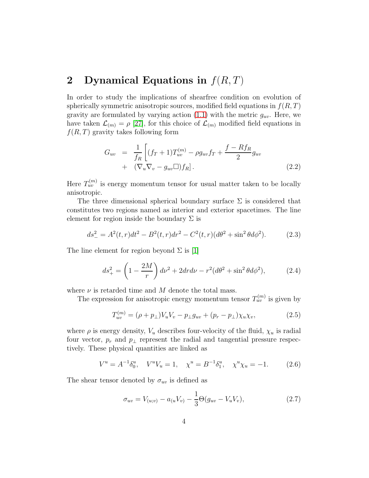### 2 Dynamical Equations in  $f(R,T)$

In order to study the implications of shearfree condition on evolution of spherically symmetric anisotropic sources, modified field equations in  $f(R,T)$ gravity are formulated by varying action  $(1.1)$  with the metric  $g_{uv}$ . Here, we have taken  $\mathcal{L}_{(m)} = \rho$  [\[27\]](#page-15-11), for this choice of  $\mathcal{L}_{(m)}$  modified field equations in  $f(R, T)$  gravity takes following form

$$
G_{uv} = \frac{1}{f_R} \left[ (f_T + 1) T_{uv}^{(m)} - \rho g_{uv} f_T + \frac{f - Rf_R}{2} g_{uv} + (\nabla_u \nabla_v - g_{uv} \square) f_R \right].
$$
\n(2.2)

Here  $T_{uv}^{(m)}$  is energy momentum tensor for usual matter taken to be locally anisotropic.

The three dimensional spherical boundary surface  $\Sigma$  is considered that constitutes two regions named as interior and exterior spacetimes. The line element for region inside the boundary  $\Sigma$  is

$$
ds_{-}^{2} = A^{2}(t,r)dt^{2} - B^{2}(t,r)dr^{2} - C^{2}(t,r)(d\theta^{2} + \sin^{2}\theta d\phi^{2}).
$$
 (2.3)

The line element for region beyond  $\Sigma$  is [\[1\]](#page-14-0)

$$
ds_{+}^{2} = \left(1 - \frac{2M}{r}\right)dv^{2} + 2dr d\nu - r^{2}(d\theta^{2} + \sin^{2}\theta d\phi^{2}),
$$
 (2.4)

where  $\nu$  is retarded time and M denote the total mass.

The expression for anisotropic energy momentum tensor  $T_{uv}^{(m)}$  is given by

$$
T_{uv}^{(m)} = (\rho + p_{\perp})V_u V_v - p_{\perp}g_{uv} + (p_r - p_{\perp})\chi_u \chi_v,
$$
 (2.5)

where  $\rho$  is energy density,  $V_u$  describes four-velocity of the fluid,  $\chi_u$  is radial four vector,  $p_r$  and  $p_{\perp}$  represent the radial and tangential pressure respectively. These physical quantities are linked as

$$
V^{u} = A^{-1} \delta_{0}^{u}, \quad V^{u} V_{u} = 1, \quad \chi^{u} = B^{-1} \delta_{1}^{u}, \quad \chi^{u} \chi_{u} = -1. \tag{2.6}
$$

The shear tensor denoted by  $\sigma_{uv}$  is defined as

<span id="page-3-0"></span>
$$
\sigma_{uv} = V_{(u;v)} - a_{(u}V_{v)} - \frac{1}{3}\Theta(g_{uv} - V_uV_v), \qquad (2.7)
$$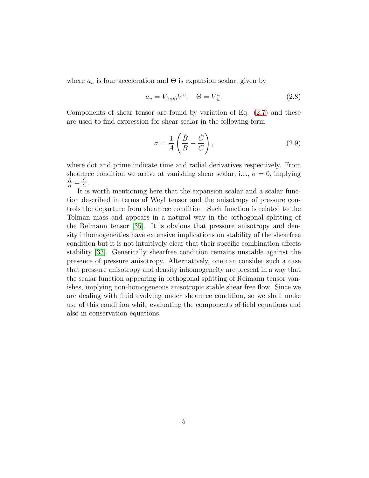where  $a_u$  is four acceleration and  $\Theta$  is expansion scalar, given by

$$
a_u = V_{(u;v)}V^v, \quad \Theta = V^u_{;u}.
$$
\n(2.8)

Components of shear tensor are found by variation of Eq.  $(2.7)$  and these are used to find expression for shear scalar in the following form

$$
\sigma = \frac{1}{A} \left( \frac{\dot{B}}{B} - \frac{\dot{C}}{C} \right),\tag{2.9}
$$

where dot and prime indicate time and radial derivatives respectively. From shearfree condition we arrive at vanishing shear scalar, i.e.,  $\sigma = 0$ , implying  $\frac{\dot{B}}{B}=\frac{\dot{C}}{C}$  $\frac{C}{C}$ .

It is worth mentioning here that the expansion scalar and a scalar function described in terms of Weyl tensor and the anisotropy of pressure controls the departure from shearfree condition. Such function is related to the Tolman mass and appears in a natural way in the orthogonal splitting of the Reimann tensor [\[35\]](#page-15-12). It is obvious that pressure anisotropy and density inhomogeneities have extensive implications on stability of the shearfree condition but it is not intuitively clear that their specific combination affects stability [\[33\]](#page-15-9). Generically shearfree condition remains unstable against the presence of pressure anisotropy. Alternatively, one can consider such a case that pressure anisotropy and density inhomogeneity are present in a way that the scalar function appearing in orthogonal splitting of Reimann tensor vanishes, implying non-homogeneous anisotropic stable shear free flow. Since we are dealing with fluid evolving under shearfree condition, so we shall make use of this condition while evaluating the components of field equations and also in conservation equations.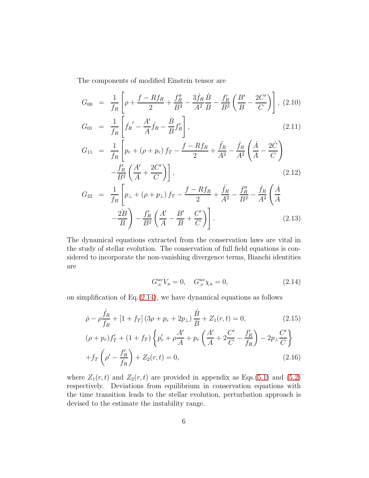The components of modified Einstein tensor are

<span id="page-5-2"></span>
$$
G_{00} = \frac{1}{f_R} \left[ \rho + \frac{f - Rf_R}{2} + \frac{f_R''}{B^2} - \frac{3\dot{f}_R}{A^2} \frac{\dot{B}}{B} - \frac{f_R'}{B^2} \left( \frac{B'}{B} - \frac{2C'}{C} \right) \right], (2.10)
$$
  
\n
$$
G_{01} = \frac{1}{f_R} \left[ \dot{f}_R' - \frac{A'}{A} \dot{f}_R - \frac{\dot{B}}{B} f_R' \right],
$$
\n
$$
G_{11} = \frac{1}{f_R} \left[ p_r + (\rho + p_r) f_T - \frac{f - Rf_R}{2} + \frac{\ddot{f}_R}{A^2} - \frac{\dot{f}_R}{A^2} \left( \frac{\dot{A}}{A} - \frac{2\dot{C}}{C} \right) - \frac{f_R'}{B^2} \left( \frac{A'}{A} + \frac{2C'}{C} \right) \right],
$$
\n
$$
G_{22} = \frac{1}{f_R} \left[ p_\perp + (\rho + p_\perp) f_T - \frac{f - Rf_R}{2} + \frac{\ddot{f}_R}{A^2} - \frac{f_R''}{B^2} - \frac{\dot{f}_R}{A^2} \left( \frac{\dot{A}}{A} - \frac{2\dot{B}}{B} \right) - \frac{f_R'}{B^2} \left( \frac{A'}{A} - \frac{B'}{B} + \frac{C'}{C} \right) \right].
$$
\n(2.13)

The dynamical equations extracted from the conservation laws are vital in the study of stellar evolution. The conservation of full field equations is considered to incorporate the non-vanishing divergence terms, Bianchi identities are

<span id="page-5-0"></span>
$$
G_{;v}^{uv}V_u = 0, \quad G_{;v}^{uv}\chi_u = 0,
$$
\n(2.14)

on simplification of  $Eq. (2.14)$  $Eq. (2.14)$ , we have dynamical equations as follows

<span id="page-5-1"></span>
$$
\dot{\rho} - \rho \frac{\dot{f}_R}{f_R} + \left[1 + f_T\right] \left(3\rho + p_r + 2p_\perp\right) \frac{\dot{B}}{B} + Z_1(r, t) = 0, \tag{2.15}
$$
\n
$$
(\rho + p_r) f'_T + \left(1 + f_T\right) \left\{p'_r + \rho \frac{A'}{A} + p_r \left(\frac{A'}{A} + 2\frac{C'}{C} - \frac{f'_R}{f_R}\right) - 2p_\perp \frac{C'}{C}\right\}
$$
\n
$$
+ f_T \left(\rho' - \frac{f'_R}{f_R}\right) + Z_2(r, t) = 0, \tag{2.16}
$$

where  $Z_1(r, t)$  and  $Z_2(r, t)$  are provided in appendix as Eqs.[\(5.1\)](#page-12-0) and [\(5.2\)](#page-12-0) respectively. Deviations from equilibrium in conservation equations with the time transition leads to the stellar evolution, perturbation approach is devised to the estimate the instability range.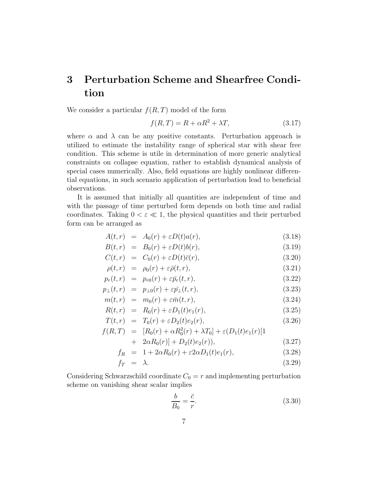## 3 Perturbation Scheme and Shearfree Condition

We consider a particular  $f(R, T)$  model of the form

$$
f(R,T) = R + \alpha R^2 + \lambda T,\tag{3.17}
$$

where  $\alpha$  and  $\lambda$  can be any positive constants. Perturbation approach is utilized to estimate the instability range of spherical star with shear free condition. This scheme is utile in determination of more generic analytical constraints on collapse equation, rather to establish dynamical analysis of special cases numerically. Also, field equations are highly nonlinear differential equations, in such scenario application of perturbation lead to beneficial observations.

It is assumed that initially all quantities are independent of time and with the passage of time perturbed form depends on both time and radial coordinates. Taking  $0 < \varepsilon \ll 1$ , the physical quantities and their perturbed form can be arranged as

<span id="page-6-0"></span>
$$
A(t,r) = A_0(r) + \varepsilon D(t)a(r), \qquad (3.18)
$$

$$
B(t,r) = B_0(r) + \varepsilon D(t)b(r), \qquad (3.19)
$$

$$
C(t,r) = C_0(r) + \varepsilon D(t)\bar{c}(r), \qquad (3.20)
$$

$$
\rho(t,r) = \rho_0(r) + \varepsilon \bar{\rho}(t,r), \qquad (3.21)
$$

$$
p_r(t,r) = p_{r0}(r) + \varepsilon \bar{p}_r(t,r), \qquad (3.22)
$$

$$
p_{\perp}(t,r) = p_{\perp 0}(r) + \varepsilon \bar{p_{\perp}}(t,r), \qquad (3.23)
$$

$$
m(t,r) = m_0(r) + \varepsilon \bar{m}(t,r), \qquad (3.24)
$$

$$
R(t,r) = R_0(r) + \varepsilon D_1(t)e_1(r), \qquad (3.25)
$$

$$
T(t,r) = T_0(r) + \varepsilon D_2(t)e_2(r), \qquad (3.26)
$$

$$
f(R,T) = [R_0(r) + \alpha R_0^2(r) + \lambda T_0] + \varepsilon (D_1(t)e_1(r)[1 + 2\alpha R_0(r)] + D_2(t)e_2(r)), \qquad (3.27)
$$

+ 
$$
2a n_0(\tau) + D_2(\tau) e_2(\tau)
$$
, (3.21)

$$
f_R = 1 + 2\alpha R_0(r) + \varepsilon 2\alpha D_1(t)e_1(r), \qquad (3.28)
$$

$$
f_T = \lambda. \tag{3.29}
$$

Considering Schwarzschild coordinate  $C_0 = r$  and implementing perturbation scheme on vanishing shear scalar implies

<span id="page-6-1"></span>
$$
\frac{b}{B_0} = \frac{\bar{c}}{r}.\tag{3.30}
$$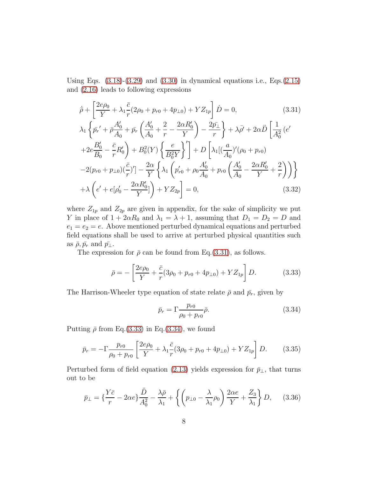Using Eqs.  $(3.18)-(3.29)$  $(3.18)-(3.29)$  and  $(3.30)$  in dynamical equations i.e., Eqs. $(2.15)$ and [\(2.16\)](#page-5-1) leads to following expressions

<span id="page-7-0"></span>
$$
\dot{\bar{\rho}} + \left[ \frac{2e\rho_0}{Y} + \lambda_1 \frac{\bar{c}}{r} (2\rho_0 + p_{r0} + 4p_{\perp 0}) + Y Z_{1p} \right] \dot{D} = 0, \qquad (3.31)
$$
  
\n
$$
\lambda_1 \left\{ \bar{p_r}' + \bar{\rho} \frac{A_0'}{A_0} + \bar{p_r} \left( \frac{A_0'}{A_0} + \frac{2}{r} - \frac{2\alpha R_0'}{Y} \right) - \frac{2\bar{p_\perp}}{r} \right\} + \lambda \bar{\rho}' + 2\alpha \dot{D} \left[ \frac{1}{A_0^2} (e^{r}) + 2e \frac{B_0'}{B_0} - \frac{\bar{c}}{r} R_0' \right\} + B_0^2(Y) \left\{ \frac{e}{B_0^2 Y} \right\}' \right] + D \left[ \lambda_1 \left[ \left( \frac{a}{A_0} \right)' (\rho_0 + p_{r0}) - 2(p_{r0} + p_{\perp 0}) \left( \frac{\bar{c}}{r} \right)' \right] - \frac{2\alpha}{Y} \left\{ \lambda_1 \left( p_{r0}' + \rho_0 \frac{A_0'}{A_0} + p_{r0} \left( \frac{A_0'}{A_0} - \frac{2\alpha R_0'}{Y} + \frac{2}{r} \right) \right) \right\} + \lambda \left( e' + e[\rho_0' - \frac{2\alpha R_0'}{Y}] \right) + Y Z_{2p} \right] = 0, \qquad (3.32)
$$

where  $Z_{1p}$  and  $Z_{2p}$  are given in appendix, for the sake of simplicity we put Y in place of  $1 + 2\alpha R_0$  and  $\lambda_1 = \lambda + 1$ , assuming that  $D_1 = D_2 = D$  and  $e_1 = e_2 = e$ . Above mentioned perturbed dynamical equations and perturbed field equations shall be used to arrive at perturbed physical quantities such as  $\bar{\rho}, \bar{p_r}$  and  $\bar{p_\perp}$ .

The expression for  $\bar{\rho}$  can be found from Eq.[\(3.31\)](#page-7-0), as follows.

<span id="page-7-1"></span>
$$
\bar{\rho} = -\left[\frac{2e\rho_0}{Y} + \frac{\bar{c}}{r}(3\rho_0 + p_{r0} + 4p_{\perp 0}) + YZ_{1p}\right]D.
$$
 (3.33)

The Harrison-Wheeler type equation of state relate  $\bar{\rho}$  and  $\bar{p}_r$ , given by

<span id="page-7-2"></span>
$$
\bar{p}_r = \Gamma \frac{p_{r0}}{\rho_0 + p_{r0}} \bar{\rho}.\tag{3.34}
$$

Putting  $\bar{\rho}$  from Eq.[\(3.33\)](#page-7-1) in Eq.[\(3.34\)](#page-7-2), we found

<span id="page-7-3"></span>
$$
\bar{p}_r = -\Gamma \frac{p_{r0}}{\rho_0 + p_{r0}} \left[ \frac{2e\rho_0}{Y} + \lambda_1 \frac{\bar{c}}{r} (3\rho_0 + p_{r0} + 4p_{\perp 0}) + YZ_{1p} \right] D. \tag{3.35}
$$

Perturbed form of field equation [\(2.13\)](#page-5-2) yields expression for  $\bar{p}_\perp$ , that turns out to be

<span id="page-7-4"></span>
$$
\bar{p}_{\perp} = \left\{ \frac{Y\bar{c}}{r} - 2\alpha e \right\} \frac{\ddot{D}}{A_0^2} - \frac{\lambda \bar{\rho}}{\lambda_1} + \left\{ \left( p_{\perp 0} - \frac{\lambda}{\lambda_1} \rho_0 \right) \frac{2\alpha e}{Y} + \frac{Z_3}{\lambda_1} \right\} D, \quad (3.36)
$$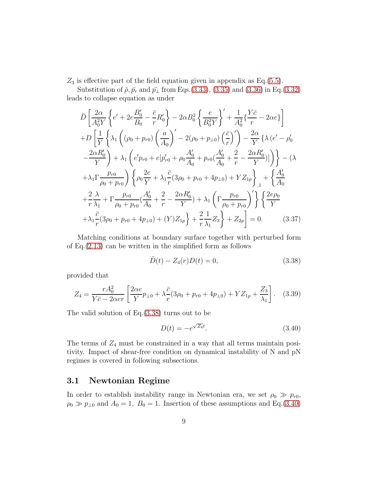$Z_3$  is effective part of the field equation given in appendix as Eq.[\(5.5\)](#page-13-0).

Substitution of  $\bar{\rho}, \bar{p_r}$  and  $\bar{p_\perp}$  from Eqs.[\(3.33\)](#page-7-1), [\(3.35\)](#page-7-3) and [\(3.36\)](#page-7-4) in Eq.[\(3.32\)](#page-7-0) leads to collapse equation as under

<span id="page-8-2"></span>
$$
\ddot{D} \left[ \frac{2\alpha}{A_0^2 Y} \left\{ e' + 2e \frac{B_0'}{B_0} - \frac{\bar{c}}{r} R_0' \right\} - 2\alpha B_0^2 \left\{ \frac{e}{B_0^2 Y} \right\}' + \frac{1}{A_0^2} \left\{ \frac{Y\bar{c}}{r} - 2\alpha e \right\} \right] \n+ D \left[ \frac{1}{Y} \left\{ \lambda_1 \left( (\rho_0 + p_{r0}) \left( \frac{a}{A_0} \right)' - 2(\rho_0 + p_{\perp 0}) \left( \frac{\bar{c}}{r} \right)' \right) - \frac{2\alpha}{Y} \left\{ \lambda \left( e' - \rho_0' \right) - \frac{2\alpha R_0'}{Y} \right\} + \lambda_1 \left( e' p_{r0} + e \left[ p_{r0}' + \rho_0 \frac{A_0'}{A_0} + p_{r0} \left( \frac{A_0'}{A_0} + \frac{2}{r} - \frac{2\alpha R_0'}{Y} \right) \right] \right\} - (\lambda) \n+ \lambda_1 \Gamma \frac{p_{r0}}{\rho_0 + p_{r0}} \right) \left\{ \rho_0 \frac{2e}{Y} + \lambda_1 \frac{\bar{c}}{r} (3\rho_0 + p_{r0} + 4p_{\perp 0}) + Y Z_{1p} \right\}_{,1} + \left\{ \frac{A_0'}{A_0} \right. \n+ \frac{2}{r} \frac{\lambda}{\lambda_1} + \Gamma \frac{p_{r0}}{\rho_0 + p_{r0}} \left( \frac{A_0'}{A_0} + \frac{2}{r} - \frac{2\alpha R_0'}{Y} \right) + \lambda_1 \left( \Gamma \frac{p_{r0}}{\rho_0 + p_{r0}} \right)' \right\} \left\{ \frac{2e\rho_0}{Y} \right. \n+ \lambda_1 \frac{\bar{c}}{r} (3\rho_0 + p_{r0} + 4p_{\perp 0}) + (Y) Z_{1p} \right\} + \frac{2}{r} \frac{1}{\lambda_1} Z_3 \right\} + Z_{2p} \right] = 0. \tag{3.37}
$$

Matching conditions at boundary surface together with perturbed form of Eq.[\(2.13\)](#page-5-2) can be written in the simplified form as follows

<span id="page-8-0"></span>
$$
\ddot{D}(t) - Z_4(r)D(t) = 0,\t\t(3.38)
$$

provided that

$$
Z_4 = \frac{rA_0^2}{Y\bar{c} - 2\alpha er} \left[ \frac{2\alpha e}{Y} p_{\perp 0} + \lambda \frac{\bar{c}}{r} (3\rho_0 + p_{r0} + 4p_{\perp 0}) + YZ_{1p} + \frac{Z_3}{\lambda_1} \right].
$$
 (3.39)

The valid solution of Eq.[\(3.38\)](#page-8-0) turns out to be

<span id="page-8-1"></span>
$$
D(t) = -e^{\sqrt{Z_4}t}.\tag{3.40}
$$

The terms of  $Z_4$  must be constrained in a way that all terms maintain positivity. Impact of shear-free condition on dynamical instability of N and pN regimes is covered in following subsections.

#### 3.1 Newtonian Regime

In order to establish instability range in Newtonian era, we set  $\rho_0 \gg p_{r0}$ ,  $\rho_0 \gg p_{\perp 0}$  and  $A_0 = 1$ ,  $B_0 = 1$ . Insertion of these assumptions and Eq.[\(3.40\)](#page-8-1)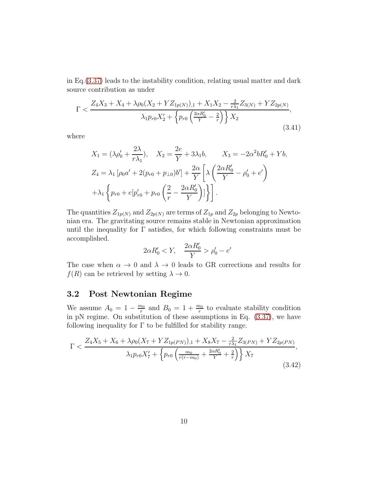in Eq.[\(3.37\)](#page-8-2) leads to the instability condition, relating usual matter and dark source contribution as under

$$
\Gamma < \frac{Z_4 X_3 + X_4 + \lambda \rho_0 (X_2 + Y Z_{1p(N)})_{,1} + X_1 X_2 - \frac{2}{r \lambda_1} Z_{3(N)} + Y Z_{2p(N)}}{\lambda_1 p_{r0} X_2' + \left\{ p_{r0} \left( \frac{2 \alpha R_0'}{Y} - \frac{2}{r} \right) \right\} X_2},\tag{3.41}
$$

where

$$
X_1 = (\lambda \rho'_0 + \frac{2\lambda}{r\lambda_1}), \quad X_2 = \frac{2e}{Y} + 3\lambda_1 b, \quad X_3 = -2\alpha^2 b R'_0 + Yb,
$$
  
\n
$$
Z_4 = \lambda_1 [\rho_0 a' + 2(p_{r0} + p_{\perp 0})b'] + \frac{2\alpha}{Y} \left[ \lambda \left( \frac{2\alpha R'_0}{Y} - \rho'_0 + e' \right) + \lambda_1 \left\{ p_{r0} + e[p'_{r0} + p_{r0} \left( \frac{2}{r} - \frac{2\alpha R'_0}{Y} \right)] \right\} \right].
$$

The quantities  $Z_{1p(N)}$  and  $Z_{2p(N)}$  are terms of  $Z_{1p}$  and  $Z_{2p}$  belonging to Newtonian era. The gravitating source remains stable in Newtonian approximation until the inequality for  $\Gamma$  satisfies, for which following constraints must be accomplished.

$$
2\alpha R'_0 < Y, \quad \frac{2\alpha R'_0}{Y} > \rho'_0 - e'
$$

The case when  $\alpha \to 0$  and  $\lambda \to 0$  leads to GR corrections and results for  $f(R)$  can be retrieved by setting  $\lambda \to 0$ .

#### 3.2 Post Newtonian Regime

We assume  $A_0 = 1 - \frac{m_0}{r}$  $\frac{n_0}{r}$  and  $B_0 = 1 + \frac{m_0}{r}$  to evaluate stability condition in pN regime. On substitution of these assumptions in Eq. [\(3.37\)](#page-8-2), we have following inequality for  $\Gamma$  to be fulfilled for stability range.

<span id="page-9-0"></span>
$$
\Gamma < \frac{Z_4 X_5 + X_6 + \lambda \rho_0 (X_7 + Y Z_{1p(PN)})_{,1} + X_8 X_7 - \frac{2}{r \lambda_1} Z_{3(PN)} + Y Z_{2p(PN)}}{\lambda_1 p_{r0} X_7' + \left\{ p_{r0} \left( \frac{m_0}{r(r - m_0)} + \frac{2\alpha R_0'}{Y} + \frac{2}{r} \right) \right\} X_7},\tag{3.42}
$$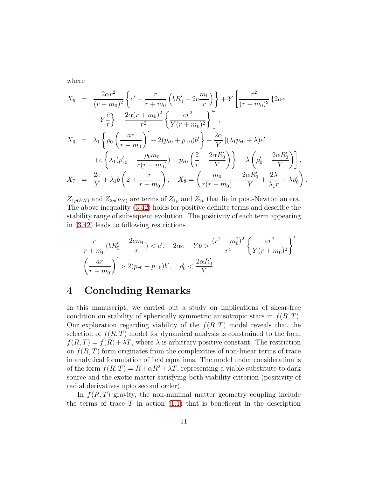where

$$
X_5 = \frac{2\alpha r^2}{(r - m_0)^2} \left\{ e' - \frac{r}{r + m_0} \left( bR'_0 + 2e\frac{m_0}{r} \right) \right\} + Y \left[ \frac{r^2}{(r - m_0)^2} \{ 2\alpha e \right] - Y \frac{\bar{c}}{r} \right\} - \frac{2\alpha (r + m_0)^2}{r^2} \left\{ \frac{e r^2}{Y(r + m_0)^2} \right\}',
$$
  
\n
$$
X_6 = \lambda_1 \left\{ \rho_0 \left( \frac{ar}{r - m_0} \right)' - 2(p_{r0} + p_{\perp 0})b' \right\} - \frac{2\alpha}{Y} \left[ (\lambda_1 p_{r0} + \lambda) e' \right] + e \left\{ \lambda_1 (p'_{r0} + \frac{\rho_0 m_0}{r(r - m_0)}) + p_{r0} \left( \frac{2}{r} - \frac{2\alpha R'_0}{Y} \right) \right\} - \lambda \left( \rho'_0 - \frac{2\alpha R'_0}{Y} \right) \right\},
$$
  
\n
$$
X_7 = \frac{2e}{Y} + \lambda_1 b \left( 2 + \frac{r}{r + m_0} \right), \quad X_8 = \left( \frac{m_0}{r(r - m_0)} + \frac{2\alpha R'_0}{Y} + \frac{2\lambda}{\lambda_1 r} + \lambda \rho'_0 \right)
$$

.

 $Z_{1p(PN)}$  and  $Z_{2p(PN)}$  are terms of  $Z_{1p}$  and  $Z_{2p}$  that lie in post-Newtonian era. The above inequality [\(3.42\)](#page-9-0) holds for positive definite terms and describe the stability range of subsequent evolution. The positivity of each term appearing in [\(3.42\)](#page-9-0) leads to following restrictions

$$
\frac{r}{r+m_0}(bR'_0 + \frac{2em_0}{r}) < e', \quad 2\alpha e - Yb > \frac{(r^2 - m_0^2)^2}{r^4} \left\{ \frac{er^2}{Y(r+m_0)^2} \right\}'
$$
\n
$$
\left(\frac{ar}{r-m_0}\right)' > 2(p_{r0} + p_{\perp 0})b', \quad \rho'_0 < \frac{2\alpha R'_0}{Y}.
$$

#### 4 Concluding Remarks

In this manuscript, we carried out a study on implications of shear-free condition on stability of spherically symmetric anisotropic stars in  $f(R,T)$ . Our exploration regarding viability of the  $f(R, T)$  model reveals that the selection of  $f(R, T)$  model for dynamical analysis is constrained to the form  $f(R,T) = f(R) + \lambda T$ , where  $\lambda$  is arbitrary positive constant. The restriction on  $f(R, T)$  form originates from the complexities of non-linear terms of trace in analytical formulation of field equations. The model under consideration is of the form  $f(R,T) = R + \alpha R^2 + \lambda T$ , representing a viable substitute to dark source and the exotic matter satisfying both viability criterion (positivity of radial derivatives upto second order).

In  $f(R, T)$  gravity, the non-minimal matter geometry coupling include the terms of trace  $T$  in action [\(1.1\)](#page-2-0) that is beneficent in the description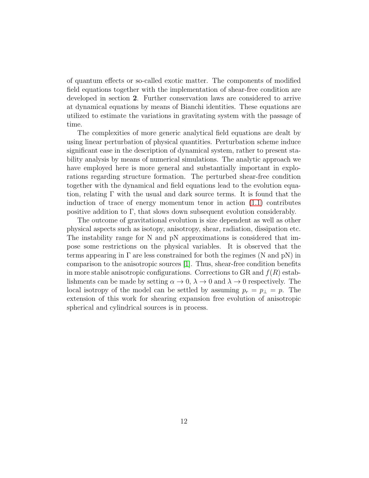of quantum effects or so-called exotic matter. The components of modified field equations together with the implementation of shear-free condition are developed in section 2. Further conservation laws are considered to arrive at dynamical equations by means of Bianchi identities. These equations are utilized to estimate the variations in gravitating system with the passage of time.

The complexities of more generic analytical field equations are dealt by using linear perturbation of physical quantities. Perturbation scheme induce significant ease in the description of dynamical system, rather to present stability analysis by means of numerical simulations. The analytic approach we have employed here is more general and substantially important in explorations regarding structure formation. The perturbed shear-free condition together with the dynamical and field equations lead to the evolution equation, relating  $\Gamma$  with the usual and dark source terms. It is found that the induction of trace of energy momentum tenor in action [\(1.1\)](#page-2-0) contributes positive addition to  $\Gamma$ , that slows down subsequent evolution considerably.

The outcome of gravitational evolution is size dependent as well as other physical aspects such as isotopy, anisotropy, shear, radiation, dissipation etc. The instability range for N and pN approximations is considered that impose some restrictions on the physical variables. It is observed that the terms appearing in  $\Gamma$  are less constrained for both the regimes (N and pN) in comparison to the anisotropic sources [\[1\]](#page-14-0). Thus, shear-free condition benefits in more stable anisotropic configurations. Corrections to GR and  $f(R)$  establishments can be made by setting  $\alpha \to 0$ ,  $\lambda \to 0$  and  $\lambda \to 0$  respectively. The local isotropy of the model can be settled by assuming  $p_r = p_\perp = p$ . The extension of this work for shearing expansion free evolution of anisotropic spherical and cylindrical sources is in process.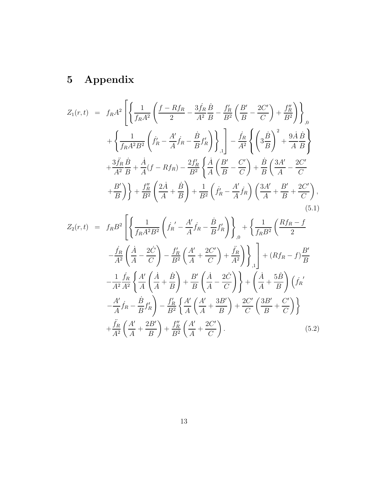# 5 Appendix

<span id="page-12-0"></span>
$$
Z_{1}(r,t) = f_{R}A^{2} \left[ \left\{ \frac{1}{f_{R}A^{2}} \left( \frac{f - Rf_{R}}{2} - \frac{3f_{R}}{A^{2}} \frac{\dot{B}}{B} - \frac{f'_{R}}{B^{2}} \left( \frac{B'}{B} - \frac{2C'}{C} \right) + \frac{f''_{R}}{B^{2}} \right) \right\}_{,0} + \left\{ \frac{1}{f_{R}A^{2}B^{2}} \left( \dot{f}'_{R} - \frac{A'}{A} \dot{f}_{R} - \frac{\dot{B}}{B} f'_{R} \right) \right\}_{,1} - \frac{\dot{f}_{R}}{A^{2}} \left\{ \left( 3\frac{\dot{B}}{B} \right)^{2} + \frac{9\dot{A}}{A} \frac{\dot{B}}{B} \right\} + \frac{3\ddot{f}_{R}\dot{B}}{A^{2}B} + \frac{\dot{A}}{A} (f - Rf_{R}) - \frac{2f'_{R}}{B^{2}} \left\{ \frac{\dot{A}}{A} \left( \frac{B'}{B} - \frac{C'}{C} \right) + \frac{\dot{B}}{B} \left( \frac{3A'}{A} - \frac{2C'}{C} + \frac{B'}{B} \right) \right\} + \frac{f''_{R}}{B^{2}} \left( \frac{2\dot{A}}{A} + \frac{\dot{B}}{B} \right) + \frac{1}{B^{2}} \left( \dot{f}'_{R} - \frac{A'}{A} \dot{f}_{R} \right) \left( \frac{3A'}{A} + \frac{B'}{B} + \frac{2C'}{C} \right),
$$
\n
$$
\left[ \dot{A} \left( \dot{B} \right) + \dot{B} \left( \dot{B} \right) + \dot{B} \left( \dot{B} \right) \right] + \frac{1}{B^{2}} \left( \dot{B} \right) + \frac{1}{B^{2}} \left( \dot{B} \right) + \frac{1}{B^{2}} \left( \dot{B} \right) + \frac{1}{B^{2}} \left( \dot{B} \right) \left( \frac{3A'}{A} + \frac{B'}{B} + \frac{2C'}{C} \right), \tag{5.1}
$$

$$
Z_{2}(r,t) = f_{R}B^{2} \left\{ \left\{ \frac{1}{f_{R}A^{2}B^{2}} \left( \dot{f}_{R}^{'} - \frac{A'}{A} \dot{f}_{R} - \frac{\dot{B}}{B} f'_{R} \right) \right\}_{,0} + \left\{ \frac{1}{f_{R}B^{2}} \left( \frac{Rf_{R} - f}{2} - \frac{\dot{f}_{R}}{A^{2}} \left( \frac{\dot{A}}{A} - \frac{2\dot{C}}{C} \right) - \frac{f'_{R}}{B^{2}} \left( \frac{A'}{A} + \frac{2C'}{C} \right) + \frac{\ddot{f}_{R}}{A^{2}} \right) \right\}_{,1} \right\} + (Rf_{R} - f) \frac{B'}{B}
$$

$$
- \frac{1}{A^{2}} \frac{\dot{f}_{R}}{A^{2}} \left\{ \frac{A'}{A} \left( \frac{\dot{A}}{A} + \frac{\dot{B}}{B} \right) + \frac{B'}{B} \left( \frac{\dot{A}}{A} - \frac{2\dot{C}}{C} \right) \right\} + \left( \frac{\dot{A}}{A} + \frac{5\dot{B}}{B} \right) \left( \dot{f}_{R}^{'} - \frac{A'}{A} \dot{f}_{R} - \frac{\dot{B}}{B} f'_{R} \right) - \frac{f'_{R}}{B^{2}} \left\{ \frac{A'}{A} \left( \frac{A'}{A} + \frac{3B'}{B} \right) + \frac{2C'}{C} \left( \frac{3B'}{B} + \frac{C'}{C} \right) \right\}
$$

$$
+ \frac{\ddot{f}_{R}}{A^{2}} \left( \frac{A'}{A} + \frac{2B'}{B} \right) + \frac{f''_{R}}{B^{2}} \left( \frac{A'}{A} + \frac{2C'}{C} \right). \tag{5.2}
$$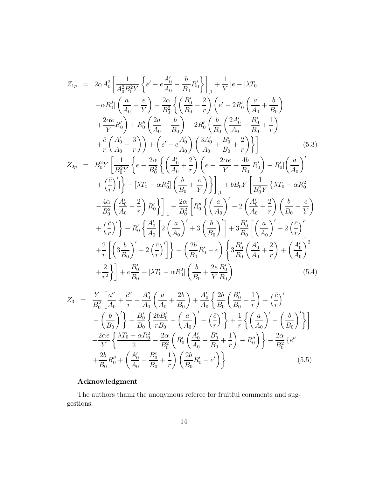$$
Z_{1p} = 2\alpha A_0^2 \left[ \frac{1}{A_0^2 B_0^2 Y} \left\{ e' - e \frac{A_0'}{A_0} - \frac{b}{B_0} R_0' \right\} \right]_{,1} + \frac{1}{Y} \left[ e - \left[ X T_0 \right] - \alpha R_0^2 \right] \left( \frac{a}{A_0} + \frac{e}{Y} \right) + \frac{2\alpha}{B_0^2} \left\{ \left( \frac{B_0'}{B_0} - \frac{2}{r} \right) \left( e' - 2R_0' \left( \frac{a}{A_0} + \frac{b}{B_0} \right) \right. \\ \left. + \frac{2\alpha e}{Y} R_0' \right) + R_0'' \left( \frac{2a}{A_0} + \frac{b}{B_0} \right) - 2R_0' \left( \frac{b}{B_0} \left( \frac{2A_0'}{A_0} + \frac{B_0'}{B_0} + \frac{1}{r} \right) \right. \\ \left. + \frac{\bar{c}}{r} \left( \frac{A_0'}{A_0} - \frac{3}{r} \right) \right) + \left( e' - e \frac{A_0'}{A_0} \right) \left( \frac{3A_0'}{A_0} + \frac{B_0'}{B_0} + \frac{2}{r} \right) \right\} \right] \qquad (5.3)
$$
\n
$$
Z_{2p} = B_0^2 Y \left[ \frac{1}{B_0^2 Y} \left\{ e - \frac{2\alpha}{B_0^2} \left\{ \left( \frac{A_0'}{A_0} + \frac{2}{r} \right) \left( e - \left[ \frac{2\alpha e}{Y} + \frac{4b}{B_0} \right] R_0' \right) + R_0' \left[ \left( \frac{a}{A_0} \right)' \right. \\ \left. + \left( \frac{\bar{c}}{r} \right)' \right] \right\} - \left[ X T_0 - \alpha R_0^2 \right] \left( \frac{b}{B_0} + \frac{e}{Y} \right) \right] \Bigg]_{,1} + bB_0 Y \left[ \frac{1}{B_0^2 Y} \left\{ X T_0 - \alpha R_0^2 \right. \\ \left. - \frac{4\alpha}{B_0^2} \left( \frac{A_0'}{A
$$

$$
Z_{2p} = B_{0}^{2}Y \left[ \frac{1}{B_{0}^{2}Y} \left\{ e - \frac{1}{B_{0}^{2}} \left\{ \left( \frac{1}{A_{0}} + \frac{1}{r} \right) \left( e - \left[ \frac{1}{Y} + \frac{1}{B_{0}} \right] R_{0}' \right) + R_{0}' \left[ \left( \frac{1}{A_{0}} \right) \right] \right\} \right] + \left[ \left( \frac{\bar{c}}{r} \right)' \left\{ - \left[ \left( \frac{1}{A_{0}} + \frac{e}{r} \right) \right] \right\} \right] + bB_{0}Y \left[ \frac{1}{B_{0}^{2}Y} \left\{ \lambda T_{0} - \alpha R_{0}^{2} \right\} - \frac{4\alpha}{B_{0}^{2}} \left( \frac{A_{0}'}{A_{0}} + \frac{2}{r} \right) R_{0}' \right\} \right] + \frac{2\alpha}{B_{0}^{2}} \left[ R_{0}'' \left\{ \left( \frac{a}{A_{0}} \right)' - 2 \left( \frac{A_{0}'}{A_{0}} + \frac{2}{r} \right) \left( \frac{b}{B_{0}} + \frac{e}{Y} \right) \right. \right. \\ \left. + \left( \frac{\bar{c}}{r} \right)' \right\} - R_{0}' \left\{ \frac{A_{0}'}{A_{0}} \left[ 2 \left( \frac{a}{A_{0}} \right)' + 3 \left( \frac{b}{B_{0}} \right)' \right] + 3 \frac{B_{0}'}{B_{0}} \left[ \left( \frac{a}{A_{0}} \right)' + 2 \left( \frac{\bar{c}}{r} \right)' \right] \right. \\ \left. + \frac{2}{r} \left[ \left( 3 \frac{b}{B_{0}} \right)' + 2 \left( \frac{\bar{c}}{r} \right)' \right] \right\} + \left( \frac{2b}{B_{0}} R_{0}' - e \right) \left\{ 3 \frac{B_{0}'}{B_{0}} \left( \frac{A_{0}'}{A_{0}} + \frac{2}{r} \right) + \left( \frac{A_{0}'}{A_{0}} \right)^{2} \right. \\ \left. + \frac{2}{r^{2}} \right\} \left] + e \frac{B_{0}'}{B_{0}} - \left[ \lambda T_{0} - \alpha R_{0
$$

<span id="page-13-0"></span>
$$
Z_3 = \frac{Y}{B_0^2} \left[ \frac{a''}{A_0} + \frac{\bar{c}''}{r} - \frac{A_0''}{A_0} \left( \frac{a}{A_0} + \frac{2b}{B_0} \right) + \frac{A_0'}{A_0} \left\{ \frac{2b}{B_0} \left( \frac{B_0'}{B_0} - \frac{1}{r} \right) + \left( \frac{\bar{c}}{r} \right) \right\}
$$

$$
- \left( \frac{b}{B_0} \right)' \right\} + \frac{B_0'}{B_0} \left\{ \frac{2bB_0'}{rB_0} - \left( \frac{a}{A_0} \right)' - \left( \frac{\bar{c}}{r} \right)' \right\} + \frac{1}{r} \left\{ \left( \frac{a}{A_0} \right)' - \left( \frac{b}{B_0} \right)' \right\}
$$

$$
- \frac{2\alpha e}{Y} \left\{ \frac{\lambda T_0 - \alpha R_0^2}{2} - \frac{2\alpha}{B_0^2} \left( R_0' \left( \frac{A_0'}{A_0} - \frac{B_0'}{B_0} + \frac{1}{r} \right) - R_0'' \right) \right\} - \frac{2\alpha}{B_0^2} \left\{ e''
$$

$$
+ \frac{2b}{B_0} R_0'' + \left( \frac{A_0'}{A_0} - \frac{B_0'}{B_0} + \frac{1}{r} \right) \left( \frac{2b}{B_0} R_0' - e' \right) \right\}
$$
(5.5)

#### Acknowledgment

The authors thank the anonymous referee for fruitful comments and suggestions.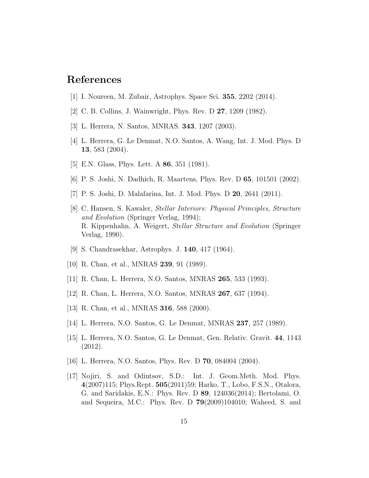### <span id="page-14-0"></span>References

- <span id="page-14-1"></span>[1] I. Noureen, M. Zubair, Astrophys. Space Sci. 355, 2202 (2014).
- <span id="page-14-2"></span>[2] C. B. Collins, J. Wainwright, Phys. Rev. D 27, 1209 (1982).
- <span id="page-14-3"></span>[3] L. Herrera, N. Santos, MNRAS. 343, 1207 (2003).
- <span id="page-14-4"></span>[4] L. Herrera, G. Le Denmat, N.O. Santos, A. Wang, Int. J. Mod. Phys. D 13, 583 (2004).
- <span id="page-14-5"></span>[5] E.N. Glass, Phys. Lett. A 86, 351 (1981).
- <span id="page-14-6"></span>[6] P. S. Joshi, N. Dadhich, R. Maartens, Phys. Rev. D 65, 101501 (2002).
- <span id="page-14-7"></span>[7] P. S. Joshi, D. Malafarina, Int. J. Mod. Phys. D 20, 2641 (2011).
- [8] C. Hansen, S. Kawaler, Stellar Interiors: Physical Principles, Structure and Evolution (Springer Verlag, 1994); R. Kippenhahn, A. Weigert, Stellar Structure and Evolution (Springer Verlag, 1990).
- <span id="page-14-9"></span><span id="page-14-8"></span>[9] S. Chandrasekhar, Astrophys. J. 140, 417 (1964).
- [10] R. Chan, et al., MNRAS 239, 91 (1989).
- [11] R. Chan, L. Herrera, N.O. Santos, MNRAS 265, 533 (1993).
- [12] R. Chan, L. Herrera, N.O. Santos, MNRAS 267, 637 (1994).
- [13] R. Chan, et al., MNRAS **316**, 588 (2000).
- [14] L. Herrera, N.O. Santos, G. Le Denmat, MNRAS 237, 257 (1989).
- [15] L. Herrera, N.O. Santos, G. Le Denmat, Gen. Relativ. Gravit. 44, 1143 (2012).
- <span id="page-14-11"></span><span id="page-14-10"></span>[16] L. Herrera, N.O. Santos, Phys. Rev. D 70, 084004 (2004).
- [17] Nojiri, S. and Odintsov, S.D.: Int. J. Geom.Meth. Mod. Phys. 4(2007)115; Phys.Rept. 505(2011)59; Harko, T., Lobo, F.S.N., Otalora, G. and Saridakis, E.N.: Phys. Rev. D 89, 124036(2014); Bertolami, O. and Sequeira, M.C.: Phys. Rev. D 79(2009)104010; Waheed, S. and